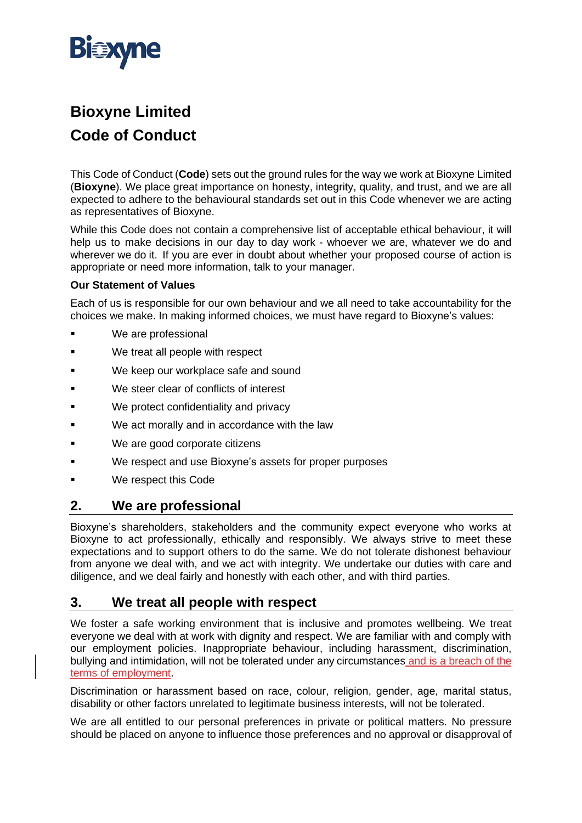

# **Bioxyne Limited Code of Conduct**

This Code of Conduct (**Code**) sets out the ground rules for the way we work at Bioxyne Limited (**Bioxyne**). We place great importance on honesty, integrity, quality, and trust, and we are all expected to adhere to the behavioural standards set out in this Code whenever we are acting as representatives of Bioxyne.

While this Code does not contain a comprehensive list of acceptable ethical behaviour, it will help us to make decisions in our day to day work - whoever we are, whatever we do and wherever we do it. If you are ever in doubt about whether your proposed course of action is appropriate or need more information, talk to your manager.

#### **Our Statement of Values**

Each of us is responsible for our own behaviour and we all need to take accountability for the choices we make. In making informed choices, we must have regard to Bioxyne's values:

- We are professional
- We treat all people with respect
- We keep our workplace safe and sound
- We steer clear of conflicts of interest
- We protect confidentiality and privacy
- We act morally and in accordance with the law
- We are good corporate citizens
- We respect and use Bioxyne's assets for proper purposes
- We respect this Code

#### **2. We are professional**

Bioxyne's shareholders, stakeholders and the community expect everyone who works at Bioxyne to act professionally, ethically and responsibly. We always strive to meet these expectations and to support others to do the same. We do not tolerate dishonest behaviour from anyone we deal with, and we act with integrity. We undertake our duties with care and diligence, and we deal fairly and honestly with each other, and with third parties.

#### **3. We treat all people with respect**

We foster a safe working environment that is inclusive and promotes wellbeing. We treat everyone we deal with at work with dignity and respect. We are familiar with and comply with our employment policies. Inappropriate behaviour, including harassment, discrimination, bullying and intimidation, will not be tolerated under any circumstances and is a breach of the terms of employment.

Discrimination or harassment based on race, colour, religion, gender, age, marital status, disability or other factors unrelated to legitimate business interests, will not be tolerated.

We are all entitled to our personal preferences in private or political matters. No pressure should be placed on anyone to influence those preferences and no approval or disapproval of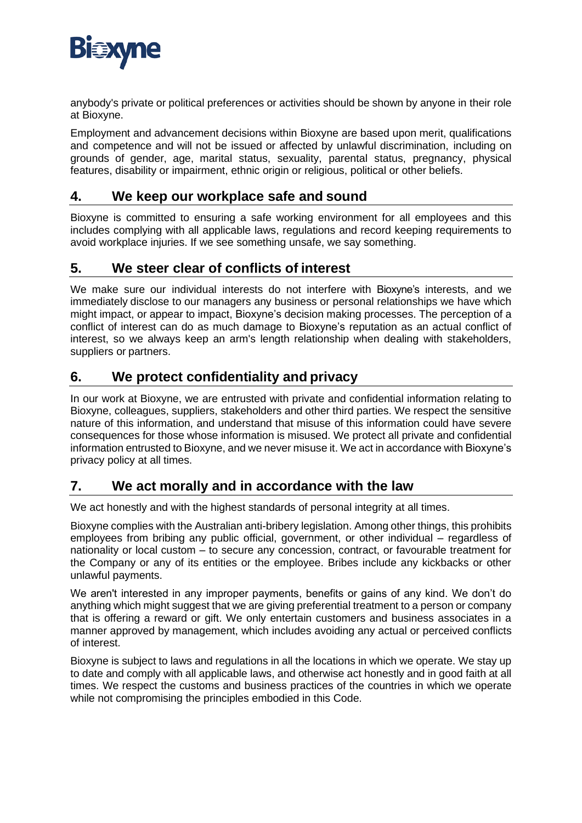

anybody's private or political preferences or activities should be shown by anyone in their role at Bioxyne.

Employment and advancement decisions within Bioxyne are based upon merit, qualifications and competence and will not be issued or affected by unlawful discrimination, including on grounds of gender, age, marital status, sexuality, parental status, pregnancy, physical features, disability or impairment, ethnic origin or religious, political or other beliefs.

### **4. We keep our workplace safe and sound**

Bioxyne is committed to ensuring a safe working environment for all employees and this includes complying with all applicable laws, regulations and record keeping requirements to avoid workplace injuries. If we see something unsafe, we say something.

## **5. We steer clear of conflicts of interest**

We make sure our individual interests do not interfere with Bioxyne's interests, and we immediately disclose to our managers any business or personal relationships we have which might impact, or appear to impact, Bioxyne's decision making processes. The perception of a conflict of interest can do as much damage to Bioxyne's reputation as an actual conflict of interest, so we always keep an arm's length relationship when dealing with stakeholders, suppliers or partners.

## **6. We protect confidentiality and privacy**

In our work at Bioxyne, we are entrusted with private and confidential information relating to Bioxyne, colleagues, suppliers, stakeholders and other third parties. We respect the sensitive nature of this information, and understand that misuse of this information could have severe consequences for those whose information is misused. We protect all private and confidential information entrusted to Bioxyne, and we never misuse it. We act in accordance with Bioxyne's privacy policy at all times.

#### **7. We act morally and in accordance with the law**

We act honestly and with the highest standards of personal integrity at all times.

Bioxyne complies with the Australian anti-bribery legislation. Among other things, this prohibits employees from bribing any public official, government, or other individual – regardless of nationality or local custom – to secure any concession, contract, or favourable treatment for the Company or any of its entities or the employee. Bribes include any kickbacks or other unlawful payments.

We aren't interested in any improper payments, benefits or gains of any kind. We don't do anything which might suggest that we are giving preferential treatment to a person or company that is offering a reward or gift. We only entertain customers and business associates in a manner approved by management, which includes avoiding any actual or perceived conflicts of interest.

Bioxyne is subject to laws and regulations in all the locations in which we operate. We stay up to date and comply with all applicable laws, and otherwise act honestly and in good faith at all times. We respect the customs and business practices of the countries in which we operate while not compromising the principles embodied in this Code.